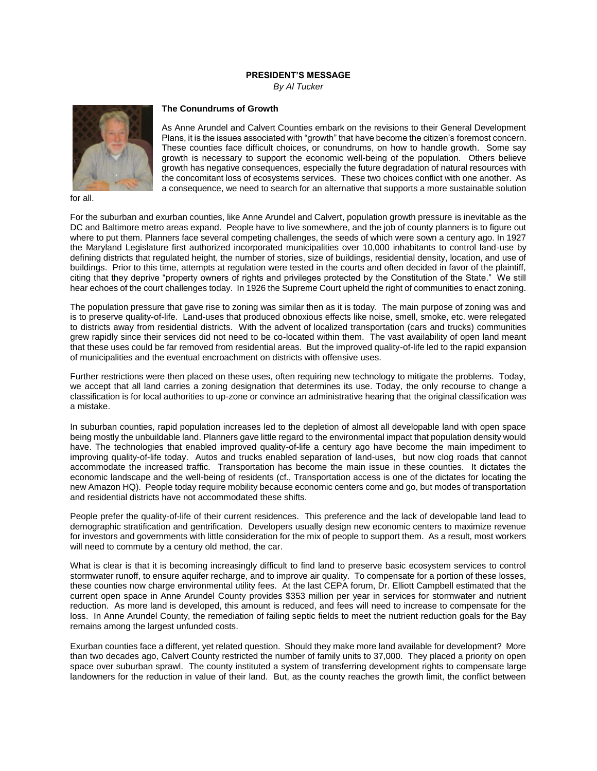## **PRESIDENT'S MESSAGE**

*By Al Tucker*



for all.

## **The Conundrums of Growth**

As Anne Arundel and Calvert Counties embark on the revisions to their General Development Plans, it is the issues associated with "growth" that have become the citizen's foremost concern. These counties face difficult choices, or conundrums, on how to handle growth. Some say growth is necessary to support the economic well-being of the population. Others believe growth has negative consequences, especially the future degradation of natural resources with the concomitant loss of ecosystems services. These two choices conflict with one another. As a consequence, we need to search for an alternative that supports a more sustainable solution

For the suburban and exurban counties, like Anne Arundel and Calvert, population growth pressure is inevitable as the DC and Baltimore metro areas expand. People have to live somewhere, and the job of county planners is to figure out where to put them. Planners face several competing challenges, the seeds of which were sown a century ago. In 1927 the Maryland Legislature first authorized incorporated municipalities over 10,000 inhabitants to control land-use by defining districts that regulated height, the number of stories, size of buildings, residential density, location, and use of buildings. Prior to this time, attempts at regulation were tested in the courts and often decided in favor of the plaintiff, citing that they deprive "property owners of rights and privileges protected by the Constitution of the State." We still hear echoes of the court challenges today. In 1926 the Supreme Court upheld the right of communities to enact zoning.

The population pressure that gave rise to zoning was similar then as it is today. The main purpose of zoning was and is to preserve quality-of-life. Land-uses that produced obnoxious effects like noise, smell, smoke, etc. were relegated to districts away from residential districts. With the advent of localized transportation (cars and trucks) communities grew rapidly since their services did not need to be co-located within them. The vast availability of open land meant that these uses could be far removed from residential areas. But the improved quality-of-life led to the rapid expansion of municipalities and the eventual encroachment on districts with offensive uses.

Further restrictions were then placed on these uses, often requiring new technology to mitigate the problems. Today, we accept that all land carries a zoning designation that determines its use. Today, the only recourse to change a classification is for local authorities to up-zone or convince an administrative hearing that the original classification was a mistake.

In suburban counties, rapid population increases led to the depletion of almost all developable land with open space being mostly the unbuildable land. Planners gave little regard to the environmental impact that population density would have. The technologies that enabled improved quality-of-life a century ago have become the main impediment to improving quality-of-life today. Autos and trucks enabled separation of land-uses, but now clog roads that cannot accommodate the increased traffic. Transportation has become the main issue in these counties. It dictates the economic landscape and the well-being of residents (cf., Transportation access is one of the dictates for locating the new Amazon HQ). People today require mobility because economic centers come and go, but modes of transportation and residential districts have not accommodated these shifts.

People prefer the quality-of-life of their current residences. This preference and the lack of developable land lead to demographic stratification and gentrification. Developers usually design new economic centers to maximize revenue for investors and governments with little consideration for the mix of people to support them. As a result, most workers will need to commute by a century old method, the car.

What is clear is that it is becoming increasingly difficult to find land to preserve basic ecosystem services to control stormwater runoff, to ensure aquifer recharge, and to improve air quality. To compensate for a portion of these losses, these counties now charge environmental utility fees. At the last CEPA forum, Dr. Elliott Campbell estimated that the current open space in Anne Arundel County provides \$353 million per year in services for stormwater and nutrient reduction. As more land is developed, this amount is reduced, and fees will need to increase to compensate for the loss. In Anne Arundel County, the remediation of failing septic fields to meet the nutrient reduction goals for the Bay remains among the largest unfunded costs.

Exurban counties face a different, yet related question. Should they make more land available for development? More than two decades ago, Calvert County restricted the number of family units to 37,000. They placed a priority on open space over suburban sprawl. The county instituted a system of transferring development rights to compensate large landowners for the reduction in value of their land. But, as the county reaches the growth limit, the conflict between